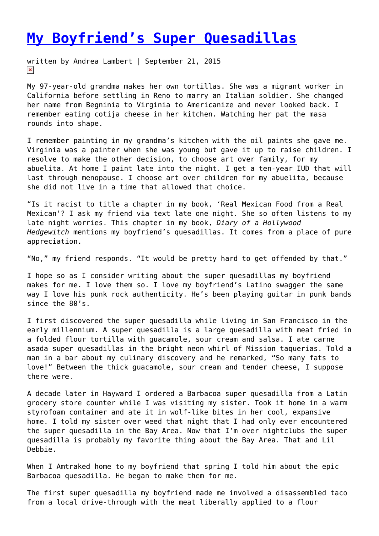## **[My Boyfriend's Super Quesadillas](https://entropymag.org/my-boyfriends-super-quesadillas/)**

written by Andrea Lambert | September 21, 2015  $\pmb{\times}$ 

My 97-year-old grandma makes her own tortillas. She was a migrant worker in California before settling in Reno to marry an Italian soldier. She changed her name from Begninia to Virginia to Americanize and never looked back. I remember eating cotija cheese in her kitchen. Watching her pat the masa rounds into shape.

I remember painting in my grandma's kitchen with the oil paints she gave me. Virginia was a painter when she was young but gave it up to raise children. I resolve to make the other decision, to choose art over family, for my abuelita. At home I paint late into the night. I get a ten-year IUD that will last through menopause. I choose art over children for my abuelita, because she did not live in a time that allowed that choice.

"Is it racist to title a chapter in my book, 'Real Mexican Food from a Real Mexican'? I ask my friend via text late one night. She so often listens to my late night worries. This chapter in my book, *Diary of a Hollywood Hedgewitch* mentions my boyfriend's quesadillas. It comes from a place of pure appreciation.

"No," my friend responds. "It would be pretty hard to get offended by that."

I hope so as I consider writing about the super quesadillas my boyfriend makes for me. I love them so. I love my boyfriend's Latino swagger the same way I love his punk rock authenticity. He's been playing guitar in punk bands since the 80's.

I first discovered the super quesadilla while living in San Francisco in the early millennium. A super quesadilla is a large quesadilla with meat fried in a folded flour tortilla with guacamole, sour cream and salsa. I ate carne asada super quesadillas in the bright neon whirl of Mission taquerias. Told a man in a bar about my culinary discovery and he remarked, "So many fats to love!" Between the thick guacamole, sour cream and tender cheese, I suppose there were.

A decade later in Hayward I ordered a Barbacoa super quesadilla from a Latin grocery store counter while I was visiting my sister. Took it home in a warm styrofoam container and ate it in wolf-like bites in her cool, expansive home. I told my sister over weed that night that I had only ever encountered the super quesadilla in the Bay Area. Now that I'm over nightclubs the super quesadilla is probably my favorite thing about the Bay Area. That and Lil Debbie.

When I Amtraked home to my boyfriend that spring I told him about the epic Barbacoa quesadilla. He began to make them for me.

The first super quesadilla my boyfriend made me involved a disassembled taco from a local drive-through with the meat liberally applied to a flour